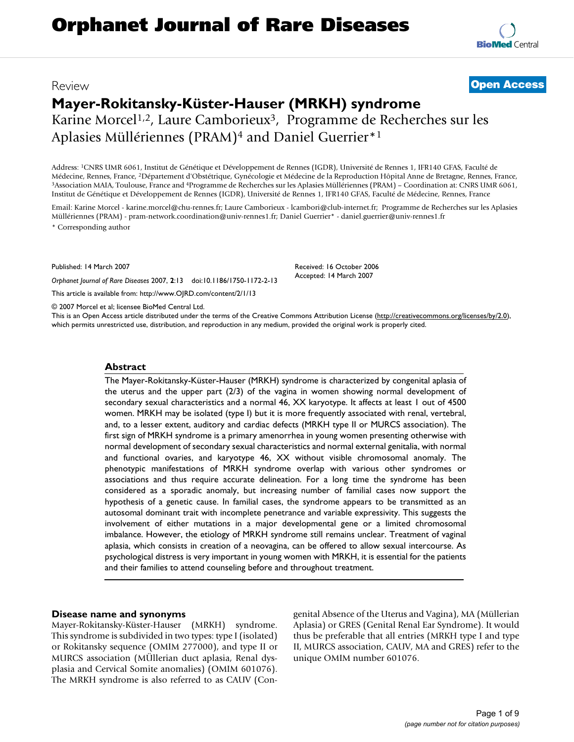# **Mayer-Rokitansky-Küster-Hauser (MRKH) syndrome**

Karine Morcel<sup>1,2</sup>, Laure Camborieux<sup>3</sup>, Programme de Recherches sur les Aplasies Müllériennes (PRAM)4 and Daniel Guerrier\*1

Address: 1CNRS UMR 6061, Institut de Génétique et Développement de Rennes (IGDR), Université de Rennes 1, IFR140 GFAS, Faculté de Médecine, Rennes, France, <sup>2</sup>Département d'Obstétrique, Gynécologie et Médecine de la Reproduction Hôpital Anne de Bretagne, Rennes, France, 13 Association MAIA, Toulouse, France and <sup>4</sup>Programme de Recherches sur les Apla Institut de Génétique et Développement de Rennes (IGDR), Université de Rennes 1, IFR140 GFAS, Faculté de Médecine, Rennes, France

Email: Karine Morcel - karine.morcel@chu-rennes.fr; Laure Camborieux - lcambori@club-internet.fr; Programme de Recherches sur les Aplasies Müllériennes (PRAM) - pram-network.coordination@univ-rennes1.fr; Daniel Guerrier\* - daniel.guerrier@univ-rennes1.fr

\* Corresponding author

Published: 14 March 2007

*Orphanet Journal of Rare Diseases* 2007, **2**:13 doi:10.1186/1750-1172-2-13

[This article is available from: http://www.OJRD.com/content/2/1/13](http://www.OJRD.com/content/2/1/13)

© 2007 Morcel et al; licensee BioMed Central Ltd.

This is an Open Access article distributed under the terms of the Creative Commons Attribution License [\(http://creativecommons.org/licenses/by/2.0\)](http://creativecommons.org/licenses/by/2.0), which permits unrestricted use, distribution, and reproduction in any medium, provided the original work is properly cited.

#### **Abstract**

The Mayer-Rokitansky-Küster-Hauser (MRKH) syndrome is characterized by congenital aplasia of the uterus and the upper part (2/3) of the vagina in women showing normal development of secondary sexual characteristics and a normal 46, XX karyotype. It affects at least 1 out of 4500 women. MRKH may be isolated (type I) but it is more frequently associated with renal, vertebral, and, to a lesser extent, auditory and cardiac defects (MRKH type II or MURCS association). The first sign of MRKH syndrome is a primary amenorrhea in young women presenting otherwise with normal development of secondary sexual characteristics and normal external genitalia, with normal and functional ovaries, and karyotype 46, XX without visible chromosomal anomaly. The phenotypic manifestations of MRKH syndrome overlap with various other syndromes or associations and thus require accurate delineation. For a long time the syndrome has been considered as a sporadic anomaly, but increasing number of familial cases now support the hypothesis of a genetic cause. In familial cases, the syndrome appears to be transmitted as an autosomal dominant trait with incomplete penetrance and variable expressivity. This suggests the involvement of either mutations in a major developmental gene or a limited chromosomal imbalance. However, the etiology of MRKH syndrome still remains unclear. Treatment of vaginal aplasia, which consists in creation of a neovagina, can be offered to allow sexual intercourse. As psychological distress is very important in young women with MRKH, it is essential for the patients and their families to attend counseling before and throughout treatment.

# **Disease name and synonyms**

Mayer-Rokitansky-Küster-Hauser (MRKH) syndrome. This syndrome is subdivided in two types: type I (isolated) or Rokitansky sequence (OMIM 277000), and type II or MURCS association (MÜllerian duct aplasia, Renal dysplasia and Cervical Somite anomalies) (OMIM 601076). The MRKH syndrome is also referred to as CAUV (Congenital Absence of the Uterus and Vagina), MA (Müllerian Aplasia) or GRES (Genital Renal Ear Syndrome). It would thus be preferable that all entries (MRKH type I and type II, MURCS association, CAUV, MA and GRES) refer to the unique OMIM number 601076.

# Review **[Open Access](http://www.biomedcentral.com/info/about/charter/)**

Received: 16 October 2006 Accepted: 14 March 2007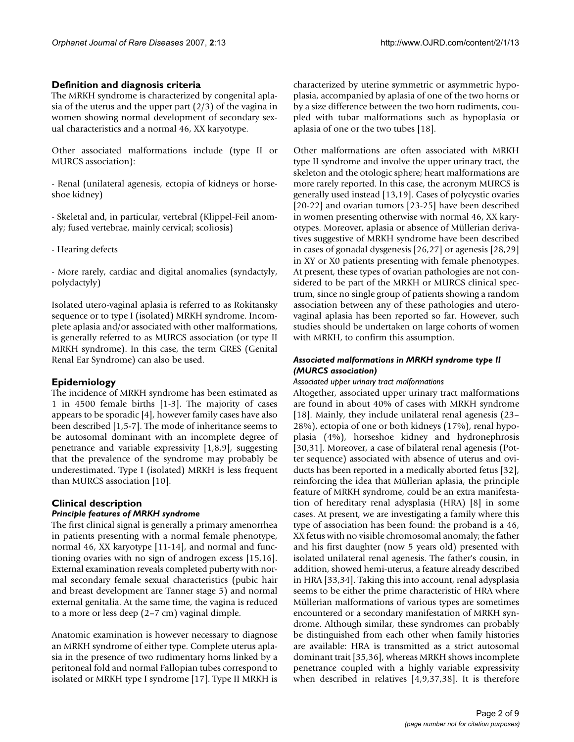# **Definition and diagnosis criteria**

The MRKH syndrome is characterized by congenital aplasia of the uterus and the upper part (2/3) of the vagina in women showing normal development of secondary sexual characteristics and a normal 46, XX karyotype.

Other associated malformations include (type II or MURCS association):

- Renal (unilateral agenesis, ectopia of kidneys or horseshoe kidney)

- Skeletal and, in particular, vertebral (Klippel-Feil anomaly; fused vertebrae, mainly cervical; scoliosis)

- Hearing defects

- More rarely, cardiac and digital anomalies (syndactyly, polydactyly)

Isolated utero-vaginal aplasia is referred to as Rokitansky sequence or to type I (isolated) MRKH syndrome. Incomplete aplasia and/or associated with other malformations, is generally referred to as MURCS association (or type II MRKH syndrome). In this case, the term GRES (Genital Renal Ear Syndrome) can also be used.

# **Epidemiology**

The incidence of MRKH syndrome has been estimated as 1 in 4500 female births [1-3]. The majority of cases appears to be sporadic [4], however family cases have also been described [1,5-7]. The mode of inheritance seems to be autosomal dominant with an incomplete degree of penetrance and variable expressivity [1,8,9], suggesting that the prevalence of the syndrome may probably be underestimated. Type I (isolated) MRKH is less frequent than MURCS association [10].

# **Clinical description**

# *Principle features of MRKH syndrome*

The first clinical signal is generally a primary amenorrhea in patients presenting with a normal female phenotype, normal 46, XX karyotype [11-14], and normal and functioning ovaries with no sign of androgen excess [15,16]. External examination reveals completed puberty with normal secondary female sexual characteristics (pubic hair and breast development are Tanner stage 5) and normal external genitalia. At the same time, the vagina is reduced to a more or less deep (2–7 cm) vaginal dimple.

Anatomic examination is however necessary to diagnose an MRKH syndrome of either type. Complete uterus aplasia in the presence of two rudimentary horns linked by a peritoneal fold and normal Fallopian tubes correspond to isolated or MRKH type I syndrome [17]. Type II MRKH is characterized by uterine symmetric or asymmetric hypoplasia, accompanied by aplasia of one of the two horns or by a size difference between the two horn rudiments, coupled with tubar malformations such as hypoplasia or aplasia of one or the two tubes [18].

Other malformations are often associated with MRKH type II syndrome and involve the upper urinary tract, the skeleton and the otologic sphere; heart malformations are more rarely reported. In this case, the acronym MURCS is generally used instead [13,19]. Cases of polycystic ovaries [20-22] and ovarian tumors [23-25] have been described in women presenting otherwise with normal 46, XX karyotypes. Moreover, aplasia or absence of Müllerian derivatives suggestive of MRKH syndrome have been described in cases of gonadal dysgenesis [26,27] or agenesis [28,29] in XY or X0 patients presenting with female phenotypes. At present, these types of ovarian pathologies are not considered to be part of the MRKH or MURCS clinical spectrum, since no single group of patients showing a random association between any of these pathologies and uterovaginal aplasia has been reported so far. However, such studies should be undertaken on large cohorts of women with MRKH, to confirm this assumption.

# *Associated malformations in MRKH syndrome type II (MURCS association)*

# *Associated upper urinary tract malformations*

Altogether, associated upper urinary tract malformations are found in about 40% of cases with MRKH syndrome [18]. Mainly, they include unilateral renal agenesis (23– 28%), ectopia of one or both kidneys (17%), renal hypoplasia (4%), horseshoe kidney and hydronephrosis [30,31]. Moreover, a case of bilateral renal agenesis (Potter sequence) associated with absence of uterus and oviducts has been reported in a medically aborted fetus [32], reinforcing the idea that Müllerian aplasia, the principle feature of MRKH syndrome, could be an extra manifestation of hereditary renal adysplasia (HRA) [8] in some cases. At present, we are investigating a family where this type of association has been found: the proband is a 46, XX fetus with no visible chromosomal anomaly; the father and his first daughter (now 5 years old) presented with isolated unilateral renal agenesis. The father's cousin, in addition, showed hemi-uterus, a feature already described in HRA [33,34]. Taking this into account, renal adysplasia seems to be either the prime characteristic of HRA where Müllerian malformations of various types are sometimes encountered or a secondary manifestation of MRKH syndrome. Although similar, these syndromes can probably be distinguished from each other when family histories are available: HRA is transmitted as a strict autosomal dominant trait [35,36], whereas MRKH shows incomplete penetrance coupled with a highly variable expressivity when described in relatives [4,9,37,38]. It is therefore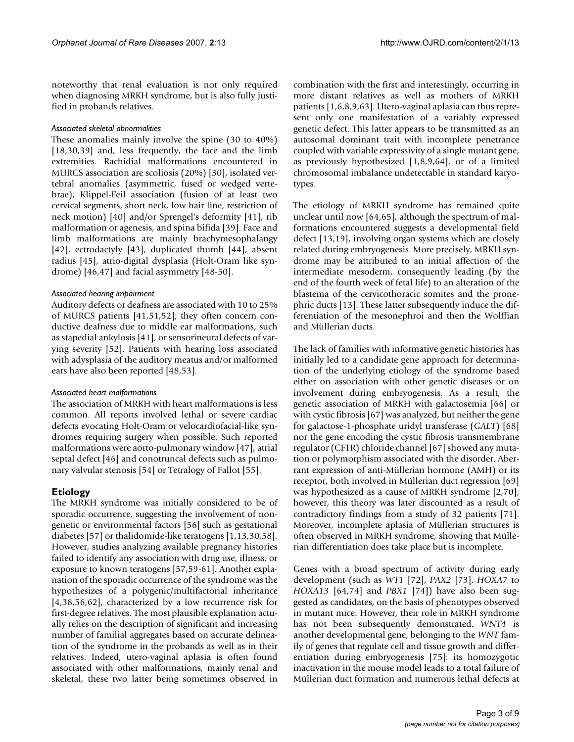noteworthy that renal evaluation is not only required when diagnosing MRKH syndrome, but is also fully justified in probands relatives.

#### *Associated skeletal abnormalities*

These anomalies mainly involve the spine (30 to 40%) [18,30,39] and, less frequently, the face and the limb extremities. Rachidial malformations encountered in MURCS association are scoliosis (20%) [30], isolated vertebral anomalies (asymmetric, fused or wedged vertebrae), Klippel-Feil association (fusion of at least two cervical segments, short neck, low hair line, restriction of neck motion) [40] and/or Sprengel's deformity [41], rib malformation or agenesis, and spina bifida [39]. Face and limb malformations are mainly brachymesophalangy [42], ectrodactyly [43], duplicated thumb [44], absent radius [45], atrio-digital dysplasia (Holt-Oram like syndrome) [46,47] and facial asymmetry [48-50].

# *Associated hearing impairment*

Auditory defects or deafness are associated with 10 to 25% of MURCS patients [41,51,52]; they often concern conductive deafness due to middle ear malformations, such as stapedial ankylosis [41], or sensorineural defects of varying severity [52]. Patients with hearing loss associated with adysplasia of the auditory meatus and/or malformed ears have also been reported [48,53].

# *Associated heart malformations*

The association of MRKH with heart malformations is less common. All reports involved lethal or severe cardiac defects evocating Holt-Oram or velocardiofacial-like syndromes requiring surgery when possible. Such reported malformations were aorto-pulmonary window [47], atrial septal defect [46] and conotruncal defects such as pulmonary valvular stenosis [54] or Tetralogy of Fallot [55].

# **Etiology**

The MRKH syndrome was initially considered to be of sporadic occurrence, suggesting the involvement of nongenetic or environmental factors [56] such as gestational diabetes [57] or thalidomide-like teratogens [1,13,30,58]. However, studies analyzing available pregnancy histories failed to identify any association with drug use, illness, or exposure to known teratogens [57,59-61]. Another explanation of the sporadic occurrence of the syndrome was the hypothesizes of a polygenic/multifactorial inheritance [4,38,56,62], characterized by a low recurrence risk for first-degree relatives. The most plausible explanation actually relies on the description of significant and increasing number of familial aggregates based on accurate delineation of the syndrome in the probands as well as in their relatives. Indeed, utero-vaginal aplasia is often found associated with other malformations, mainly renal and skeletal, these two latter being sometimes observed in

combination with the first and interestingly, occurring in more distant relatives as well as mothers of MRKH patients [1,6,8,9,63]. Utero-vaginal aplasia can thus represent only one manifestation of a variably expressed genetic defect. This latter appears to be transmitted as an autosomal dominant trait with incomplete penetrance coupled with variable expressivity of a single mutant gene, as previously hypothesized [1,8,9,64], or of a limited chromosomal imbalance undetectable in standard karyotypes.

The etiology of MRKH syndrome has remained quite unclear until now [64,65], although the spectrum of malformations encountered suggests a developmental field defect [13,19], involving organ systems which are closely related during embryogenesis. More precisely, MRKH syndrome may be attributed to an initial affection of the intermediate mesoderm, consequently leading (by the end of the fourth week of fetal life) to an alteration of the blastema of the cervicothoracic somites and the pronephric ducts [13]. These latter subsequently induce the differentiation of the mesonephroi and then the Wolffian and Müllerian ducts.

The lack of families with informative genetic histories has initially led to a candidate gene approach for determination of the underlying etiology of the syndrome based either on association with other genetic diseases or on involvement during embryogenesis. As a result, the genetic association of MRKH with galactosemia [66] or with cystic fibrosis [67] was analyzed, but neither the gene for galactose-1-phosphate uridyl transferase (*GALT*) [68] nor the gene encoding the cystic fibrosis transmembrane regulator (CFTR) chloride channel [67] showed any mutation or polymorphism associated with the disorder. Aberrant expression of anti-Müllerian hormone (AMH) or its receptor, both involved in Müllerian duct regression [69] was hypothesized as a cause of MRKH syndrome [2,70]; however, this theory was later discounted as a result of contradictory findings from a study of 32 patients [71]. Moreover, incomplete aplasia of Müllerian structures is often observed in MRKH syndrome, showing that Müllerian differentiation does take place but is incomplete.

Genes with a broad spectrum of activity during early development (such as *WT1* [72], *PAX2* [73], *HOXA7* to *HOXA13* [64,74] and *PBX1* [74]) have also been suggested as candidates, on the basis of phenotypes observed in mutant mice. However, their role in MRKH syndrome has not been subsequently demonstrated. *WNT4* is another developmental gene, belonging to the *WNT* family of genes that regulate cell and tissue growth and differentiation during embryogenesis [75]: its homozygotic inactivation in the mouse model leads to a total failure of Müllerian duct formation and numerous lethal defects at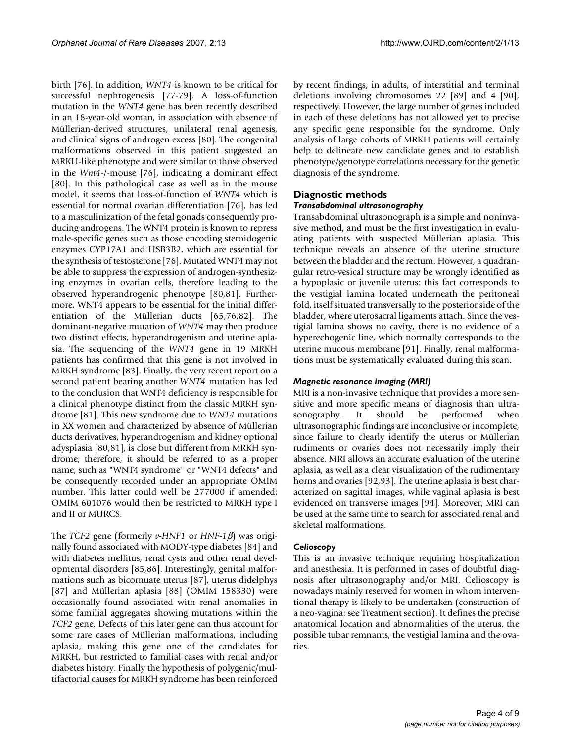birth [76]. In addition, *WNT4* is known to be critical for successful nephrogenesis [77-79]. A loss-of-function mutation in the *WNT4* gene has been recently described in an 18-year-old woman, in association with absence of Müllerian-derived structures, unilateral renal agenesis, and clinical signs of androgen excess [80]. The congenital malformations observed in this patient suggested an MRKH-like phenotype and were similar to those observed in the *Wnt4*-/-mouse [76], indicating a dominant effect [80]. In this pathological case as well as in the mouse model, it seems that loss-of-function of *WNT4* which is essential for normal ovarian differentiation [76], has led to a masculinization of the fetal gonads consequently producing androgens. The WNT4 protein is known to repress male-specific genes such as those encoding steroidogenic enzymes CYP17A1 and HSB3B2, which are essential for the synthesis of testosterone [76]. Mutated WNT4 may not be able to suppress the expression of androgen-synthesizing enzymes in ovarian cells, therefore leading to the observed hyperandrogenic phenotype [80,81]. Furthermore, WNT4 appears to be essential for the initial differentiation of the Müllerian ducts [65,76,82]. The dominant-negative mutation of *WNT4* may then produce two distinct effects, hyperandrogenism and uterine aplasia. The sequencing of the *WNT4* gene in 19 MRKH patients has confirmed that this gene is not involved in MRKH syndrome [83]. Finally, the very recent report on a second patient bearing another *WNT4* mutation has led to the conclusion that WNT4 deficiency is responsible for a clinical phenotype distinct from the classic MRKH syndrome [81]. This new syndrome due to *WNT4* mutations in XX women and characterized by absence of Müllerian ducts derivatives, hyperandrogenism and kidney optional adysplasia [80,81], is close but different from MRKH syndrome; therefore, it should be referred to as a proper name, such as "WNT4 syndrome" or "WNT4 defects" and be consequently recorded under an appropriate OMIM number. This latter could well be 277000 if amended; OMIM 601076 would then be restricted to MRKH type I and II or MURCS.

The *TCF2* gene (formerly *v-HNF1* or *HNF-1*β) was originally found associated with MODY-type diabetes [84] and with diabetes mellitus, renal cysts and other renal developmental disorders [85,86]. Interestingly, genital malformations such as bicornuate uterus [87], uterus didelphys [87] and Müllerian aplasia [88] (OMIM 158330) were occasionally found associated with renal anomalies in some familial aggregates showing mutations within the *TCF2* gene. Defects of this later gene can thus account for some rare cases of Müllerian malformations, including aplasia, making this gene one of the candidates for MRKH, but restricted to familial cases with renal and/or diabetes history. Finally the hypothesis of polygenic/multifactorial causes for MRKH syndrome has been reinforced by recent findings, in adults, of interstitial and terminal deletions involving chromosomes 22 [89] and 4 [90], respectively. However, the large number of genes included in each of these deletions has not allowed yet to precise any specific gene responsible for the syndrome. Only analysis of large cohorts of MRKH patients will certainly help to delineate new candidate genes and to establish phenotype/genotype correlations necessary for the genetic diagnosis of the syndrome.

# **Diagnostic methods**

# *Transabdominal ultrasonography*

Transabdominal ultrasonograph is a simple and noninvasive method, and must be the first investigation in evaluating patients with suspected Müllerian aplasia. This technique reveals an absence of the uterine structure between the bladder and the rectum. However, a quadrangular retro-vesical structure may be wrongly identified as a hypoplasic or juvenile uterus: this fact corresponds to the vestigial lamina located underneath the peritoneal fold, itself situated transversally to the posterior side of the bladder, where uterosacral ligaments attach. Since the vestigial lamina shows no cavity, there is no evidence of a hyperechogenic line, which normally corresponds to the uterine mucous membrane [91]. Finally, renal malformations must be systematically evaluated during this scan.

# *Magnetic resonance imaging (MRI)*

MRI is a non-invasive technique that provides a more sensitive and more specific means of diagnosis than ultrasonography. It should be performed when ultrasonographic findings are inconclusive or incomplete, since failure to clearly identify the uterus or Müllerian rudiments or ovaries does not necessarily imply their absence. MRI allows an accurate evaluation of the uterine aplasia, as well as a clear visualization of the rudimentary horns and ovaries [92,93]. The uterine aplasia is best characterized on sagittal images, while vaginal aplasia is best evidenced on transverse images [94]. Moreover, MRI can be used at the same time to search for associated renal and skeletal malformations.

# *Celioscopy*

This is an invasive technique requiring hospitalization and anesthesia. It is performed in cases of doubtful diagnosis after ultrasonography and/or MRI. Celioscopy is nowadays mainly reserved for women in whom interventional therapy is likely to be undertaken (construction of a neo-vagina: see Treatment section). It defines the precise anatomical location and abnormalities of the uterus, the possible tubar remnants, the vestigial lamina and the ovaries.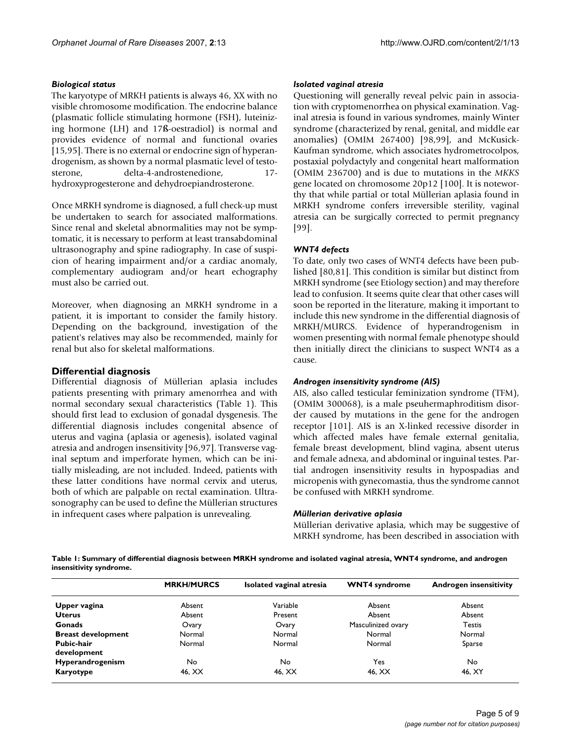# *Biological status*

The karyotype of MRKH patients is always 46, XX with no visible chromosome modification. The endocrine balance (plasmatic follicle stimulating hormone (FSH), luteinizing hormone (LH) and 17**ß**-oestradiol) is normal and provides evidence of normal and functional ovaries [15,95]. There is no external or endocrine sign of hyperandrogenism, as shown by a normal plasmatic level of testosterone, delta-4-androstenedione, 17hydroxyprogesterone and dehydroepiandrosterone.

Once MRKH syndrome is diagnosed, a full check-up must be undertaken to search for associated malformations. Since renal and skeletal abnormalities may not be symptomatic, it is necessary to perform at least transabdominal ultrasonography and spine radiography. In case of suspicion of hearing impairment and/or a cardiac anomaly, complementary audiogram and/or heart echography must also be carried out.

Moreover, when diagnosing an MRKH syndrome in a patient, it is important to consider the family history. Depending on the background, investigation of the patient's relatives may also be recommended, mainly for renal but also for skeletal malformations.

# **Differential diagnosis**

Differential diagnosis of Müllerian aplasia includes patients presenting with primary amenorrhea and with normal secondary sexual characteristics (Table 1). This should first lead to exclusion of gonadal dysgenesis. The differential diagnosis includes congenital absence of uterus and vagina (aplasia or agenesis), isolated vaginal atresia and androgen insensitivity [96,97]. Transverse vaginal septum and imperforate hymen, which can be initially misleading, are not included. Indeed, patients with these latter conditions have normal cervix and uterus, both of which are palpable on rectal examination. Ultrasonography can be used to define the Müllerian structures in infrequent cases where palpation is unrevealing.

#### *Isolated vaginal atresia*

Questioning will generally reveal pelvic pain in association with cryptomenorrhea on physical examination. Vaginal atresia is found in various syndromes, mainly Winter syndrome (characterized by renal, genital, and middle ear anomalies) (OMIM 267400) [98,99], and McKusick-Kaufman syndrome, which associates hydrometrocolpos, postaxial polydactyly and congenital heart malformation (OMIM 236700) and is due to mutations in the *MKKS* gene located on chromosome 20p12 [100]. It is noteworthy that while partial or total Müllerian aplasia found in MRKH syndrome confers irreversible sterility, vaginal atresia can be surgically corrected to permit pregnancy [99].

# *WNT4 defects*

To date, only two cases of WNT4 defects have been published [80,81]. This condition is similar but distinct from MRKH syndrome (see Etiology section) and may therefore lead to confusion. It seems quite clear that other cases will soon be reported in the literature, making it important to include this new syndrome in the differential diagnosis of MRKH/MURCS. Evidence of hyperandrogenism in women presenting with normal female phenotype should then initially direct the clinicians to suspect WNT4 as a cause.

# *Androgen insensitivity syndrome (AIS)*

AIS, also called testicular feminization syndrome (TFM), (OMIM 300068), is a male pseuhermaphroditism disorder caused by mutations in the gene for the androgen receptor [101]. AIS is an X-linked recessive disorder in which affected males have female external genitalia, female breast development, blind vagina, absent uterus and female adnexa, and abdominal or inguinal testes. Partial androgen insensitivity results in hypospadias and micropenis with gynecomastia, thus the syndrome cannot be confused with MRKH syndrome.

# *Müllerian derivative aplasia*

Müllerian derivative aplasia, which may be suggestive of MRKH syndrome, has been described in association with

**Table 1: Summary of differential diagnosis between MRKH syndrome and isolated vaginal atresia, WNT4 syndrome, and androgen insensitivity syndrome.**

|                                  | <b>MRKH/MURCS</b> | Isolated vaginal atresia | <b>WNT4</b> syndrome | <b>Androgen insensitivity</b> |
|----------------------------------|-------------------|--------------------------|----------------------|-------------------------------|
| Upper vagina                     | Absent            | Variable                 | Absent               | Absent                        |
| <b>Uterus</b>                    | Absent            | Present                  | Absent               | Absent                        |
| Gonads                           | Ovary             | Ovary                    | Masculinized ovary   | Testis                        |
| <b>Breast development</b>        | Normal            | Normal                   | Normal               | Normal                        |
| <b>Pubic-hair</b><br>development | Normal            | Normal                   | Normal               | Sparse                        |
| Hyperandrogenism                 | No                | No                       | Yes                  | No                            |
| Karyotype                        | 46, XX            | 46, XX                   | 46, XX               | 46, XY                        |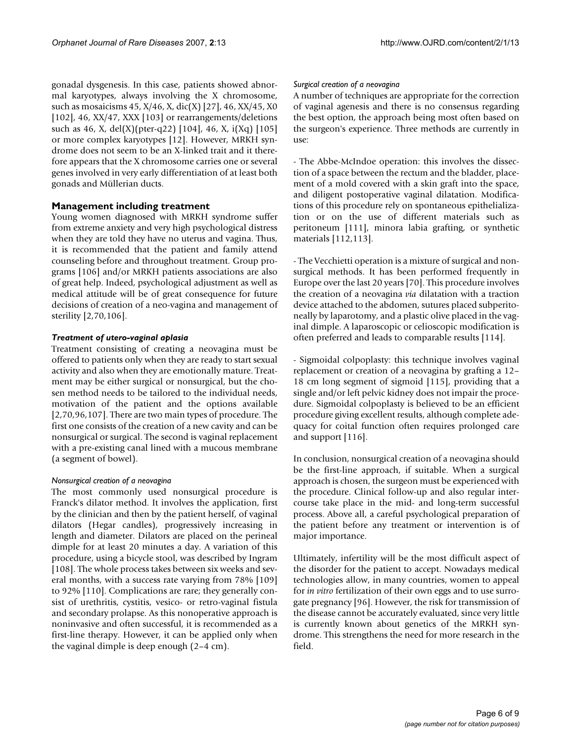gonadal dysgenesis. In this case, patients showed abnormal karyotypes, always involving the X chromosome, such as mosaicisms 45, X/46, X, dic(X) [27], 46, XX/45, X0 [102], 46, XX/47, XXX [103] or rearrangements/deletions such as 46, X, del(X)(pter-q22) [104], 46, X, i(Xq) [105] or more complex karyotypes [12]. However, MRKH syndrome does not seem to be an X-linked trait and it therefore appears that the X chromosome carries one or several genes involved in very early differentiation of at least both gonads and Müllerian ducts.

# **Management including treatment**

Young women diagnosed with MRKH syndrome suffer from extreme anxiety and very high psychological distress when they are told they have no uterus and vagina. Thus, it is recommended that the patient and family attend counseling before and throughout treatment. Group programs [106] and/or MRKH patients associations are also of great help. Indeed, psychological adjustment as well as medical attitude will be of great consequence for future decisions of creation of a neo-vagina and management of sterility [2,70,106].

# *Treatment of utero-vaginal aplasia*

Treatment consisting of creating a neovagina must be offered to patients only when they are ready to start sexual activity and also when they are emotionally mature. Treatment may be either surgical or nonsurgical, but the chosen method needs to be tailored to the individual needs, motivation of the patient and the options available [2,70,96,107]. There are two main types of procedure. The first one consists of the creation of a new cavity and can be nonsurgical or surgical. The second is vaginal replacement with a pre-existing canal lined with a mucous membrane (a segment of bowel).

# *Nonsurgical creation of a neovagina*

The most commonly used nonsurgical procedure is Franck's dilator method. It involves the application, first by the clinician and then by the patient herself, of vaginal dilators (Hegar candles), progressively increasing in length and diameter. Dilators are placed on the perineal dimple for at least 20 minutes a day. A variation of this procedure, using a bicycle stool, was described by Ingram [108]. The whole process takes between six weeks and several months, with a success rate varying from 78% [109] to 92% [110]. Complications are rare; they generally consist of urethritis, cystitis, vesico- or retro-vaginal fistula and secondary prolapse. As this nonoperative approach is noninvasive and often successful, it is recommended as a first-line therapy. However, it can be applied only when the vaginal dimple is deep enough (2–4 cm).

#### *Surgical creation of a neovagina*

A number of techniques are appropriate for the correction of vaginal agenesis and there is no consensus regarding the best option, the approach being most often based on the surgeon's experience. Three methods are currently in use:

- The Abbe-McIndoe operation: this involves the dissection of a space between the rectum and the bladder, placement of a mold covered with a skin graft into the space, and diligent postoperative vaginal dilatation. Modifications of this procedure rely on spontaneous epithelialization or on the use of different materials such as peritoneum [111], minora labia grafting, or synthetic materials [112,113].

- The Vecchietti operation is a mixture of surgical and nonsurgical methods. It has been performed frequently in Europe over the last 20 years [70]. This procedure involves the creation of a neovagina *via* dilatation with a traction device attached to the abdomen, sutures placed subperitoneally by laparotomy, and a plastic olive placed in the vaginal dimple. A laparoscopic or celioscopic modification is often preferred and leads to comparable results [114].

- Sigmoidal colpoplasty: this technique involves vaginal replacement or creation of a neovagina by grafting a 12– 18 cm long segment of sigmoid [115], providing that a single and/or left pelvic kidney does not impair the procedure. Sigmoidal colpoplasty is believed to be an efficient procedure giving excellent results, although complete adequacy for coital function often requires prolonged care and support [116].

In conclusion, nonsurgical creation of a neovagina should be the first-line approach, if suitable. When a surgical approach is chosen, the surgeon must be experienced with the procedure. Clinical follow-up and also regular intercourse take place in the mid- and long-term successful process. Above all, a careful psychological preparation of the patient before any treatment or intervention is of major importance.

Ultimately, infertility will be the most difficult aspect of the disorder for the patient to accept. Nowadays medical technologies allow, in many countries, women to appeal for *in vitro* fertilization of their own eggs and to use surrogate pregnancy [96]. However, the risk for transmission of the disease cannot be accurately evaluated, since very little is currently known about genetics of the MRKH syndrome. This strengthens the need for more research in the field.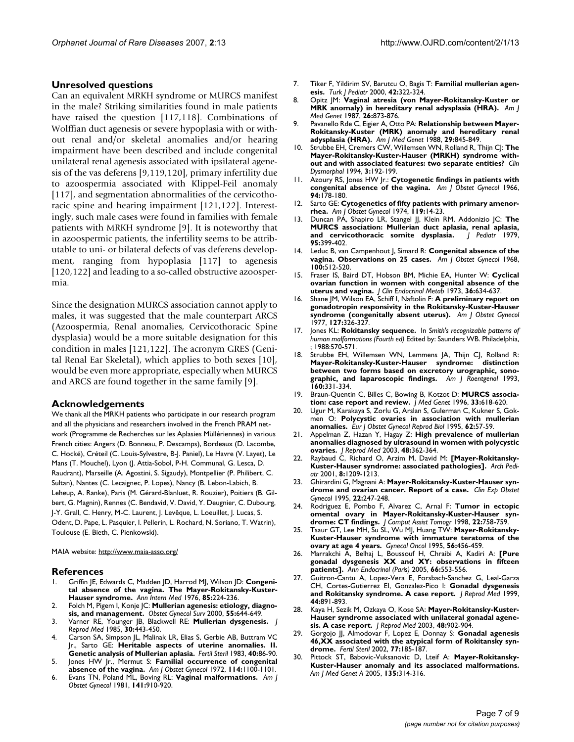#### **Unresolved questions**

Can an equivalent MRKH syndrome or MURCS manifest in the male? Striking similarities found in male patients have raised the question [117,118]. Combinations of Wolffian duct agenesis or severe hypoplasia with or without renal and/or skeletal anomalies and/or hearing impairment have been described and include congenital unilateral renal agenesis associated with ipsilateral agenesis of the vas deferens [9,119,120], primary infertility due to azoospermia associated with Klippel-Feil anomaly [117], and segmentation abnormalities of the cervicothoracic spine and hearing impairment [121,122]. Interestingly, such male cases were found in families with female patients with MRKH syndrome [9]. It is noteworthy that in azoospermic patients, the infertility seems to be attributable to uni- or bilateral defects of vas deferens development, ranging from hypoplasia [117] to agenesis [120,122] and leading to a so-called obstructive azoospermia.

Since the designation MURCS association cannot apply to males, it was suggested that the male counterpart ARCS (Azoospermia, Renal anomalies, Cervicothoracic Spine dysplasia) would be a more suitable designation for this condition in males [121,122]. The acronym GRES (Genital Renal Ear Skeletal), which applies to both sexes [10], would be even more appropriate, especially when MURCS and ARCS are found together in the same family [9].

#### **Acknowledgements**

We thank all the MRKH patients who participate in our research program and all the physicians and researchers involved in the French PRAM network (Programme de Recherches sur les Aplasies Müllériennes) in various French cities: Angers (D. Bonneau, P. Descamps), Bordeaux (D. Lacombe, C. Hocké), Créteil (C. Louis-Sylvestre, B-J. Paniel), Le Havre (V. Layet), Le Mans (T. Mouchel), Lyon (J. Attia-Sobol, P-H. Communal, G. Lesca, D. Raudrant), Marseille (A. Agostini, S. Sigaudy), Montpellier (P. Philibert, C. Sultan), Nantes (C. Lecaignec, P. Lopes), Nancy (B. Lebon-Labich, B. Leheup, A. Ranke), Paris (M. Gérard-Blanluet, R. Rouzier), Poitiers (B. Gilbert, G. Magnin), Rennes (C. Bendavid, V. David, Y. Deugnier, C. Dubourg, J-Y. Grall, C. Henry, M-C. Laurent, J. Levêque, L. Loeuillet, J. Lucas, S. Odent, D. Pape, L. Pasquier, I. Pellerin, L. Rochard, N. Soriano, T. Watrin), Toulouse (E. Bieth, C. Pienkowski).

#### MAIA website:<http://www.maia-asso.org/>

#### **References**

- 1. Griffin JE, Edwards C, Madden JD, Harrod MJ, Wilson JD: **[Congeni](http://www.ncbi.nlm.nih.gov/entrez/query.fcgi?cmd=Retrieve&db=PubMed&dopt=Abstract&list_uids=782313)[tal absence of the vagina. The Mayer-Rokitansky-Kuster-](http://www.ncbi.nlm.nih.gov/entrez/query.fcgi?cmd=Retrieve&db=PubMed&dopt=Abstract&list_uids=782313)[Hauser syndrome.](http://www.ncbi.nlm.nih.gov/entrez/query.fcgi?cmd=Retrieve&db=PubMed&dopt=Abstract&list_uids=782313)** *Ann Intern Med* 1976, **85:**224-236.
- 2. Folch M, Pigem I, Konje JC: **[Mullerian agenesis: etiology, diagno](http://www.ncbi.nlm.nih.gov/entrez/query.fcgi?cmd=Retrieve&db=PubMed&dopt=Abstract&list_uids=11023205)[sis, and management.](http://www.ncbi.nlm.nih.gov/entrez/query.fcgi?cmd=Retrieve&db=PubMed&dopt=Abstract&list_uids=11023205)** *Obstet Gynecol Surv* 2000, **55:**644-649.
- 3. Varner RE, Younger JB, Blackwell RE: **[Mullerian dysgenesis.](http://www.ncbi.nlm.nih.gov/entrez/query.fcgi?cmd=Retrieve&db=PubMed&dopt=Abstract&list_uids=4020785)** *J Reprod Med* 1985, **30:**443-450.
- 4. Carson SA, Simpson JL, Malinak LR, Elias S, Gerbie AB, Buttram VC Jr., Sarto GE: **[Heritable aspects of uterine anomalies. II.](http://www.ncbi.nlm.nih.gov/entrez/query.fcgi?cmd=Retrieve&db=PubMed&dopt=Abstract&list_uids=6862043) [Genetic analysis of Mullerian aplasia.](http://www.ncbi.nlm.nih.gov/entrez/query.fcgi?cmd=Retrieve&db=PubMed&dopt=Abstract&list_uids=6862043)** *Fertil Steril* 1983, **40:**86-90.
- 5. Jones HW Jr., Mermut S: **[Familial occurrence of congenital](http://www.ncbi.nlm.nih.gov/entrez/query.fcgi?cmd=Retrieve&db=PubMed&dopt=Abstract&list_uids=4635205) [absence of the vagina.](http://www.ncbi.nlm.nih.gov/entrez/query.fcgi?cmd=Retrieve&db=PubMed&dopt=Abstract&list_uids=4635205)** *Am J Obstet Gynecol* 1972, **114:**1100-1101.
- 6. Evans TN, Poland ML, Boving RL: **[Vaginal malformations.](http://www.ncbi.nlm.nih.gov/entrez/query.fcgi?cmd=Retrieve&db=PubMed&dopt=Abstract&list_uids=7032301)** *Am J Obstet Gynecol* 1981, **141:**910-920.
- 7. Tiker F, Yildirim SV, Barutcu O, Bagis T: **[Familial mullerian agen](http://www.ncbi.nlm.nih.gov/entrez/query.fcgi?cmd=Retrieve&db=PubMed&dopt=Abstract&list_uids=11196751)[esis.](http://www.ncbi.nlm.nih.gov/entrez/query.fcgi?cmd=Retrieve&db=PubMed&dopt=Abstract&list_uids=11196751)** *Turk J Pediatr* 2000, **42:**322-324.
- 8. Opitz JM: **[Vaginal atresia \(von Mayer-Rokitansky-Kuster or](http://www.ncbi.nlm.nih.gov/entrez/query.fcgi?cmd=Retrieve&db=PubMed&dopt=Abstract&list_uids=3591829) [MRK anomaly\) in hereditary renal adysplasia \(HRA\).](http://www.ncbi.nlm.nih.gov/entrez/query.fcgi?cmd=Retrieve&db=PubMed&dopt=Abstract&list_uids=3591829)** *Am J Med Genet* 1987, **26:**873-876.
- 9. Pavanello Rde C, Eigier A, Otto PA: **[Relationship between Mayer-](http://www.ncbi.nlm.nih.gov/entrez/query.fcgi?cmd=Retrieve&db=PubMed&dopt=Abstract&list_uids=3400728)[Rokitansky-Kuster \(MRK\) anomaly and hereditary renal](http://www.ncbi.nlm.nih.gov/entrez/query.fcgi?cmd=Retrieve&db=PubMed&dopt=Abstract&list_uids=3400728) [adysplasia \(HRA\).](http://www.ncbi.nlm.nih.gov/entrez/query.fcgi?cmd=Retrieve&db=PubMed&dopt=Abstract&list_uids=3400728)** *Am J Med Genet* 1988, **29:**845-849.
- 10. Strubbe EH, Cremers CW, Willemsen WN, Rolland R, Thijn CJ: **[The](http://www.ncbi.nlm.nih.gov/entrez/query.fcgi?cmd=Retrieve&db=PubMed&dopt=Abstract&list_uids=7981853) [Mayer-Rokitansky-Kuster-Hauser \(MRKH\) syndrome with](http://www.ncbi.nlm.nih.gov/entrez/query.fcgi?cmd=Retrieve&db=PubMed&dopt=Abstract&list_uids=7981853)[out and with associated features: two separate entities?](http://www.ncbi.nlm.nih.gov/entrez/query.fcgi?cmd=Retrieve&db=PubMed&dopt=Abstract&list_uids=7981853)** *Clin Dysmorphol* 1994, **3:**192-199.
- 11. Azoury RS, Jones HW Jr.: **[Cytogenetic findings in patients with](http://www.ncbi.nlm.nih.gov/entrez/query.fcgi?cmd=Retrieve&db=PubMed&dopt=Abstract&list_uids=5900654) [congenital absence of the vagina.](http://www.ncbi.nlm.nih.gov/entrez/query.fcgi?cmd=Retrieve&db=PubMed&dopt=Abstract&list_uids=5900654)** *Am J Obstet Gynecol* 1966, **94:**178-180.
- 12. Sarto GE: **[Cytogenetics of fifty patients with primary amenor](http://www.ncbi.nlm.nih.gov/entrez/query.fcgi?cmd=Retrieve&db=PubMed&dopt=Abstract&list_uids=4820908)[rhea.](http://www.ncbi.nlm.nih.gov/entrez/query.fcgi?cmd=Retrieve&db=PubMed&dopt=Abstract&list_uids=4820908)** *Am J Obstet Gynecol* 1974, **119:**14-23.
- 13. Duncan PA, Shapiro LR, Stangel JJ, Klein RM, Addonizio JC: **[The](http://www.ncbi.nlm.nih.gov/entrez/query.fcgi?cmd=Retrieve&db=PubMed&dopt=Abstract&list_uids=469663) [MURCS association: Mullerian duct aplasia, renal aplasia,](http://www.ncbi.nlm.nih.gov/entrez/query.fcgi?cmd=Retrieve&db=PubMed&dopt=Abstract&list_uids=469663) [and cervicothoracic somite dysplasia.](http://www.ncbi.nlm.nih.gov/entrez/query.fcgi?cmd=Retrieve&db=PubMed&dopt=Abstract&list_uids=469663)** *J Pediatr* 1979, **95:**399-402.
- 14. Leduc B, van Campenhout J, Simard R: **[Congenital absence of the](http://www.ncbi.nlm.nih.gov/entrez/query.fcgi?cmd=Retrieve&db=PubMed&dopt=Abstract&list_uids=4865978) [vagina. Observations on 25 cases.](http://www.ncbi.nlm.nih.gov/entrez/query.fcgi?cmd=Retrieve&db=PubMed&dopt=Abstract&list_uids=4865978)** *Am J Obstet Gynecol* 1968, **100:**512-520.
- 15. Fraser IS, Baird DT, Hobson BM, Michie EA, Hunter W: **[Cyclical](http://www.ncbi.nlm.nih.gov/entrez/query.fcgi?cmd=Retrieve&db=PubMed&dopt=Abstract&list_uids=4686370) [ovarian function in women with congenital absence of the](http://www.ncbi.nlm.nih.gov/entrez/query.fcgi?cmd=Retrieve&db=PubMed&dopt=Abstract&list_uids=4686370) [uterus and vagina.](http://www.ncbi.nlm.nih.gov/entrez/query.fcgi?cmd=Retrieve&db=PubMed&dopt=Abstract&list_uids=4686370)** *J Clin Endocrinol Metab* 1973, **36:**634-637.
- 16. Shane JM, Wilson EA, Schiff I, Naftolin F: **[A preliminary report on](http://www.ncbi.nlm.nih.gov/entrez/query.fcgi?cmd=Retrieve&db=PubMed&dopt=Abstract&list_uids=319667) [gonadotropin responsivity in the Rokitansky-Kuster-Hauser](http://www.ncbi.nlm.nih.gov/entrez/query.fcgi?cmd=Retrieve&db=PubMed&dopt=Abstract&list_uids=319667) [syndrome \(congenitally absent uterus\).](http://www.ncbi.nlm.nih.gov/entrez/query.fcgi?cmd=Retrieve&db=PubMed&dopt=Abstract&list_uids=319667)** *Am J Obstet Gynecol* 1977, **127:**326-327.
- 17. Jones KL: **Rokitansky sequence.** In *Smith's recognizable patterns of human malformations (Fourth ed)* Edited by: Saunders WB. Philadelphia, ; 1988:570-571.
- 18. Strubbe EH, Willemsen WN, Lemmens JA, Thijn CJ, Rolland R: **Mayer-Rokitansky-Kuster-Hauser syndrome: distinction between two forms based on excretory urographic, sonographic, and laparoscopic findings.** *Am J Roentgenol* 1993, **160:**331-334.
- 19. Braun-Quentin C, Billes C, Bowing B, Kotzot D: **[MURCS associa](http://www.ncbi.nlm.nih.gov/entrez/query.fcgi?cmd=Retrieve&db=PubMed&dopt=Abstract&list_uids=8818954)[tion: case report and review.](http://www.ncbi.nlm.nih.gov/entrez/query.fcgi?cmd=Retrieve&db=PubMed&dopt=Abstract&list_uids=8818954)** *J Med Genet* 1996, **33:**618-620.
- 20. Ugur M, Karakaya S, Zorlu G, Arslan S, Gulerman C, Kukner S, Gokmen O: **[Polycystic ovaries in association with mullerian](http://www.ncbi.nlm.nih.gov/entrez/query.fcgi?cmd=Retrieve&db=PubMed&dopt=Abstract&list_uids=7493710) [anomalies.](http://www.ncbi.nlm.nih.gov/entrez/query.fcgi?cmd=Retrieve&db=PubMed&dopt=Abstract&list_uids=7493710)** *Eur J Obstet Gynecol Reprod Biol* 1995, **62:**57-59.
- 21. Appelman Z, Hazan Y, Hagay Z: **[High prevalence of mullerian](http://www.ncbi.nlm.nih.gov/entrez/query.fcgi?cmd=Retrieve&db=PubMed&dopt=Abstract&list_uids=12815910) [anomalies diagnosed by ultrasound in women with polycystic](http://www.ncbi.nlm.nih.gov/entrez/query.fcgi?cmd=Retrieve&db=PubMed&dopt=Abstract&list_uids=12815910) [ovaries.](http://www.ncbi.nlm.nih.gov/entrez/query.fcgi?cmd=Retrieve&db=PubMed&dopt=Abstract&list_uids=12815910)** *J Reprod Med* 2003, **48:**362-364.
- 22. Raybaud C, Richard O, Arzim M, David M: **[\[Mayer-Rokitansky-](http://www.ncbi.nlm.nih.gov/entrez/query.fcgi?cmd=Retrieve&db=PubMed&dopt=Abstract&list_uids=11760672)[Kuster-Hauser syndrome: associated pathologies\].](http://www.ncbi.nlm.nih.gov/entrez/query.fcgi?cmd=Retrieve&db=PubMed&dopt=Abstract&list_uids=11760672)** *Arch Pediatr* 2001, **8:**1209-1213.
- 23. Ghirardini G, Magnani A: **[Mayer-Rokitansky-Kuster-Hauser syn](http://www.ncbi.nlm.nih.gov/entrez/query.fcgi?cmd=Retrieve&db=PubMed&dopt=Abstract&list_uids=7554266)[drome and ovarian cancer. Report of a case.](http://www.ncbi.nlm.nih.gov/entrez/query.fcgi?cmd=Retrieve&db=PubMed&dopt=Abstract&list_uids=7554266)** *Clin Exp Obstet Gynecol* 1995, **22:**247-248.
- 24. Rodriguez E, Pombo F, Alvarez C, Arnal F: **[Tumor in ectopic](http://www.ncbi.nlm.nih.gov/entrez/query.fcgi?cmd=Retrieve&db=PubMed&dopt=Abstract&list_uids=9754113) [omental ovary in Mayer-Rokitansky-Kuster-Hauser syn](http://www.ncbi.nlm.nih.gov/entrez/query.fcgi?cmd=Retrieve&db=PubMed&dopt=Abstract&list_uids=9754113)[drome: CT findings.](http://www.ncbi.nlm.nih.gov/entrez/query.fcgi?cmd=Retrieve&db=PubMed&dopt=Abstract&list_uids=9754113)** *J Comput Assist Tomogr* 1998, **22:**758-759.
- 25. Tsaur GT, Lee MH, Su SL, Wu MJ, Huang TW: **[Mayer-Rokitansky-](http://www.ncbi.nlm.nih.gov/entrez/query.fcgi?cmd=Retrieve&db=PubMed&dopt=Abstract&list_uids=7705686)[Kuster-Hauser syndrome with immature teratoma of the](http://www.ncbi.nlm.nih.gov/entrez/query.fcgi?cmd=Retrieve&db=PubMed&dopt=Abstract&list_uids=7705686) [ovary at age 4 years.](http://www.ncbi.nlm.nih.gov/entrez/query.fcgi?cmd=Retrieve&db=PubMed&dopt=Abstract&list_uids=7705686)** *Gynecol Oncol* 1995, **56:**456-459.
- 26. Marrakchi A, Belhaj L, Boussouf H, Chraibi A, Kadiri A: **[\[Pure](http://www.ncbi.nlm.nih.gov/entrez/query.fcgi?cmd=Retrieve&db=PubMed&dopt=Abstract&list_uids=16357819) [gonadal dysgenesis XX and XY: observations in fifteen](http://www.ncbi.nlm.nih.gov/entrez/query.fcgi?cmd=Retrieve&db=PubMed&dopt=Abstract&list_uids=16357819) [patients\].](http://www.ncbi.nlm.nih.gov/entrez/query.fcgi?cmd=Retrieve&db=PubMed&dopt=Abstract&list_uids=16357819)** *Ann Endocrinol (Paris)* 2005, **66:**553-556.
- Guitron-Cantu A, Lopez-Vera E, Forsbach-Sanchez G, Leal-Garza CH, Cortes-Gutierrez EI, Gonzalez-Pico I: **[Gonadal dysgenesis](http://www.ncbi.nlm.nih.gov/entrez/query.fcgi?cmd=Retrieve&db=PubMed&dopt=Abstract&list_uids=10554753) [and Rokitansky syndrome. A case report.](http://www.ncbi.nlm.nih.gov/entrez/query.fcgi?cmd=Retrieve&db=PubMed&dopt=Abstract&list_uids=10554753)** *J Reprod Med* 1999, **44:**891-893.
- 28. Kaya H, Sezik M, Ozkaya O, Kose SA: **[Mayer-Rokitansky-Kuster-](http://www.ncbi.nlm.nih.gov/entrez/query.fcgi?cmd=Retrieve&db=PubMed&dopt=Abstract&list_uids=14686026)[Hauser syndrome associated with unilateral gonadal agene](http://www.ncbi.nlm.nih.gov/entrez/query.fcgi?cmd=Retrieve&db=PubMed&dopt=Abstract&list_uids=14686026)[sis. A case report.](http://www.ncbi.nlm.nih.gov/entrez/query.fcgi?cmd=Retrieve&db=PubMed&dopt=Abstract&list_uids=14686026)** *J Reprod Med* 2003, **48:**902-904.
- 29. Gorgojo JJ, Almodovar F, Lopez E, Donnay S: **[Gonadal agenesis](http://www.ncbi.nlm.nih.gov/entrez/query.fcgi?cmd=Retrieve&db=PubMed&dopt=Abstract&list_uids=11779614) [46,XX associated with the atypical form of Rokitansky syn](http://www.ncbi.nlm.nih.gov/entrez/query.fcgi?cmd=Retrieve&db=PubMed&dopt=Abstract&list_uids=11779614)[drome.](http://www.ncbi.nlm.nih.gov/entrez/query.fcgi?cmd=Retrieve&db=PubMed&dopt=Abstract&list_uids=11779614)** *Fertil Steril* 2002, **77:**185-187.
- Pittock ST, Babovic-Vuksanovic D, Lteif A: [Mayer-Rokitansky-](http://www.ncbi.nlm.nih.gov/entrez/query.fcgi?cmd=Retrieve&db=PubMed&dopt=Abstract&list_uids=15887261)**[Kuster-Hauser anomaly and its associated malformations.](http://www.ncbi.nlm.nih.gov/entrez/query.fcgi?cmd=Retrieve&db=PubMed&dopt=Abstract&list_uids=15887261)** *Am J Med Genet A* 2005, **135:**314-316.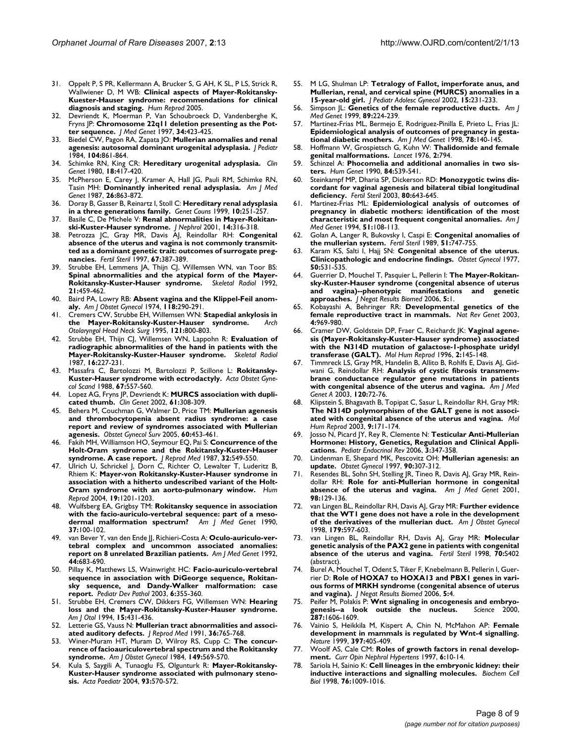- 31. Oppelt P, S PR, Kellermann A, Brucker S, G AH, K SL, P LS, Strick R, Wallwiener D, M WB: **Clinical aspects of Mayer-Rokitansky-Kuester-Hauser syndrome: recommendations for clinical diagnosis and staging.** *Hum Reprod* 2005.
- 32. Devriendt K, Moerman P, Van Schoubroeck D, Vandenberghe K, Fryns JP: **[Chromosome 22q11 deletion presenting as the Pot](http://www.ncbi.nlm.nih.gov/entrez/query.fcgi?cmd=Retrieve&db=PubMed&dopt=Abstract&list_uids=9152843)[ter sequence.](http://www.ncbi.nlm.nih.gov/entrez/query.fcgi?cmd=Retrieve&db=PubMed&dopt=Abstract&list_uids=9152843)** *J Med Genet* 1997, **34:**423-425.
- 33. Biedel CW, Pagon RA, Zapata JO: **[Mullerian anomalies and renal](http://www.ncbi.nlm.nih.gov/entrez/query.fcgi?cmd=Retrieve&db=PubMed&dopt=Abstract&list_uids=6726517) [agenesis: autosomal dominant urogenital adysplasia.](http://www.ncbi.nlm.nih.gov/entrez/query.fcgi?cmd=Retrieve&db=PubMed&dopt=Abstract&list_uids=6726517)** *J Pediatr* 1984, **104:**861-864.
- 34. Schimke RN, King CR: **[Hereditary urogenital adysplasia.](http://www.ncbi.nlm.nih.gov/entrez/query.fcgi?cmd=Retrieve&db=PubMed&dopt=Abstract&list_uids=7449179)** *Clin Genet* 1980, **18:**417-420.
- 35. McPherson E, Carey J, Kramer A, Hall JG, Pauli RM, Schimke RN, Tasin MH: **[Dominantly inherited renal adysplasia.](http://www.ncbi.nlm.nih.gov/entrez/query.fcgi?cmd=Retrieve&db=PubMed&dopt=Abstract&list_uids=3591828)** *Am J Med Genet* 1987, **26:**863-872.
- 36. Doray B, Gasser B, Reinartz I, Stoll C: **[Hereditary renal adysplasia](http://www.ncbi.nlm.nih.gov/entrez/query.fcgi?cmd=Retrieve&db=PubMed&dopt=Abstract&list_uids=10546096) [in a three generations family.](http://www.ncbi.nlm.nih.gov/entrez/query.fcgi?cmd=Retrieve&db=PubMed&dopt=Abstract&list_uids=10546096)** *Genet Couns* 1999, **10:**251-257.
- 37. Basile C, De Michele V: **[Renal abnormalities in Mayer-Rokitan](http://www.ncbi.nlm.nih.gov/entrez/query.fcgi?cmd=Retrieve&db=PubMed&dopt=Abstract&list_uids=11506258)[ski-Kuster-Hauser syndrome.](http://www.ncbi.nlm.nih.gov/entrez/query.fcgi?cmd=Retrieve&db=PubMed&dopt=Abstract&list_uids=11506258)** *J Nephrol* 2001, **14:**316-318.
- 38. Petrozza JC, Gray MR, Davis AJ, Reindollar RH: **[Congenital](http://www.ncbi.nlm.nih.gov/entrez/query.fcgi?cmd=Retrieve&db=PubMed&dopt=Abstract&list_uids=9022619) [absence of the uterus and vagina is not commonly transmit](http://www.ncbi.nlm.nih.gov/entrez/query.fcgi?cmd=Retrieve&db=PubMed&dopt=Abstract&list_uids=9022619)ted as a dominant genetic trait: outcomes of surrogate preg[nancies.](http://www.ncbi.nlm.nih.gov/entrez/query.fcgi?cmd=Retrieve&db=PubMed&dopt=Abstract&list_uids=9022619)** *Fertil Steril* 1997, **67:**387-389.
- 39. Strubbe EH, Lemmens JA, Thijn CJ, Willemsen WN, van Toor BS: **[Spinal abnormalities and the atypical form of the Mayer-](http://www.ncbi.nlm.nih.gov/entrez/query.fcgi?cmd=Retrieve&db=PubMed&dopt=Abstract&list_uids=1294137)[Rokitansky-Kuster-Hauser syndrome.](http://www.ncbi.nlm.nih.gov/entrez/query.fcgi?cmd=Retrieve&db=PubMed&dopt=Abstract&list_uids=1294137)** *Skeletal Radiol* 1992, **21:**459-462.
- 40. Baird PA, Lowry RB: **[Absent vagina and the Klippel-Feil anom](http://www.ncbi.nlm.nih.gov/entrez/query.fcgi?cmd=Retrieve&db=PubMed&dopt=Abstract&list_uids=4809416)[aly.](http://www.ncbi.nlm.nih.gov/entrez/query.fcgi?cmd=Retrieve&db=PubMed&dopt=Abstract&list_uids=4809416)** *Am J Obstet Gynecol* 1974, **118:**290-291.
- 41. Cremers CW, Strubbe EH, Willemsen WN: **[Stapedial ankylosis in](http://www.ncbi.nlm.nih.gov/entrez/query.fcgi?cmd=Retrieve&db=PubMed&dopt=Abstract&list_uids=7598861) [the Mayer-Rokitansky-Kuster-Hauser syndrome.](http://www.ncbi.nlm.nih.gov/entrez/query.fcgi?cmd=Retrieve&db=PubMed&dopt=Abstract&list_uids=7598861)** *Arch Otolaryngol Head Neck Surg* 1995, **121:**800-803.
- 42. Strubbe EH, Thijn CJ, Willemsen WN, Lappohn R: **[Evaluation of](http://www.ncbi.nlm.nih.gov/entrez/query.fcgi?cmd=Retrieve&db=PubMed&dopt=Abstract&list_uids=3589740) [radiographic abnormalities of the hand in patients with the](http://www.ncbi.nlm.nih.gov/entrez/query.fcgi?cmd=Retrieve&db=PubMed&dopt=Abstract&list_uids=3589740) [Mayer-Rokitansky-Kuster-Hauser syndrome.](http://www.ncbi.nlm.nih.gov/entrez/query.fcgi?cmd=Retrieve&db=PubMed&dopt=Abstract&list_uids=3589740)** *Skeletal Radiol* 1987, **16:**227-231.
- 43. Massafra C, Bartolozzi M, Bartolozzi P, Scillone L: **[Rokitansky-](http://www.ncbi.nlm.nih.gov/entrez/query.fcgi?cmd=Retrieve&db=PubMed&dopt=Abstract&list_uids=3239389)[Kuster-Hauser syndrome with ectrodactyly.](http://www.ncbi.nlm.nih.gov/entrez/query.fcgi?cmd=Retrieve&db=PubMed&dopt=Abstract&list_uids=3239389)** *Acta Obstet Gynecol Scand* 1988, **67:**557-560.
- 44. Lopez AG, Fryns JP, Devriendt K: **[MURCS association with dupli](http://www.ncbi.nlm.nih.gov/entrez/query.fcgi?cmd=Retrieve&db=PubMed&dopt=Abstract&list_uids=12030898)[cated thumb.](http://www.ncbi.nlm.nih.gov/entrez/query.fcgi?cmd=Retrieve&db=PubMed&dopt=Abstract&list_uids=12030898)** *Clin Genet* 2002, **61:**308-309.
- 45. Behera M, Couchman G, Walmer D, Price TM: **[Mullerian agenesis](http://www.ncbi.nlm.nih.gov/entrez/query.fcgi?cmd=Retrieve&db=PubMed&dopt=Abstract&list_uids=15995562) [and thrombocytopenia absent radius syndrome: a case](http://www.ncbi.nlm.nih.gov/entrez/query.fcgi?cmd=Retrieve&db=PubMed&dopt=Abstract&list_uids=15995562) report and review of syndromes associated with Mullerian [agenesis.](http://www.ncbi.nlm.nih.gov/entrez/query.fcgi?cmd=Retrieve&db=PubMed&dopt=Abstract&list_uids=15995562)** *Obstet Gynecol Surv* 2005, **60:**453-461.
- 46. Fakih MH, Williamson HO, Seymour EQ, Pai S: **[Concurrence of the](http://www.ncbi.nlm.nih.gov/entrez/query.fcgi?cmd=Retrieve&db=PubMed&dopt=Abstract&list_uids=3625620) [Holt-Oram syndrome and the Rokitansky-Kuster-Hauser](http://www.ncbi.nlm.nih.gov/entrez/query.fcgi?cmd=Retrieve&db=PubMed&dopt=Abstract&list_uids=3625620) [syndrome. A case report.](http://www.ncbi.nlm.nih.gov/entrez/query.fcgi?cmd=Retrieve&db=PubMed&dopt=Abstract&list_uids=3625620)** *J Reprod Med* 1987, **32:**549-550.
- 47. Ulrich U, Schrickel J, Dorn C, Richter O, Lewalter T, Luderitz B, Rhiem K: **[Mayer-von Rokitansky-Kuster-Hauser syndrome in](http://www.ncbi.nlm.nih.gov/entrez/query.fcgi?cmd=Retrieve&db=PubMed&dopt=Abstract&list_uids=15070885) [association with a hitherto undescribed variant of the Holt-](http://www.ncbi.nlm.nih.gov/entrez/query.fcgi?cmd=Retrieve&db=PubMed&dopt=Abstract&list_uids=15070885)[Oram syndrome with an aorto-pulmonary window.](http://www.ncbi.nlm.nih.gov/entrez/query.fcgi?cmd=Retrieve&db=PubMed&dopt=Abstract&list_uids=15070885)** *Hum Reprod* 2004, **19:**1201-1203.
- 48. Wulfsberg EA, Grigbsy TM: **[Rokitansky sequence in association](http://www.ncbi.nlm.nih.gov/entrez/query.fcgi?cmd=Retrieve&db=PubMed&dopt=Abstract&list_uids=2240024) [with the facio-auriculo-vertebral sequence: part of a meso](http://www.ncbi.nlm.nih.gov/entrez/query.fcgi?cmd=Retrieve&db=PubMed&dopt=Abstract&list_uids=2240024)[dermal malformation spectrum?](http://www.ncbi.nlm.nih.gov/entrez/query.fcgi?cmd=Retrieve&db=PubMed&dopt=Abstract&list_uids=2240024)** *Am J Med Genet* 1990, **37:**100-102.
- 49. van Bever Y, van den Ende JJ, Richieri-Costa A: **[Oculo-auriculo-ver](http://www.ncbi.nlm.nih.gov/entrez/query.fcgi?cmd=Retrieve&db=PubMed&dopt=Abstract&list_uids=1481833)[tebral complex and uncommon associated anomalies:](http://www.ncbi.nlm.nih.gov/entrez/query.fcgi?cmd=Retrieve&db=PubMed&dopt=Abstract&list_uids=1481833) [report on 8 unrelated Brazilian patients.](http://www.ncbi.nlm.nih.gov/entrez/query.fcgi?cmd=Retrieve&db=PubMed&dopt=Abstract&list_uids=1481833)** *Am J Med Genet* 1992, **44:**683-690.
- 50. Pillay K, Matthews LS, Wainwright HC: **[Facio-auriculo-vertebral](http://www.ncbi.nlm.nih.gov/entrez/query.fcgi?cmd=Retrieve&db=PubMed&dopt=Abstract&list_uids=14692650) [sequence in association with DiGeorge sequence, Rokitan](http://www.ncbi.nlm.nih.gov/entrez/query.fcgi?cmd=Retrieve&db=PubMed&dopt=Abstract&list_uids=14692650)sky sequence, and Dandy-Walker malformation: case [report.](http://www.ncbi.nlm.nih.gov/entrez/query.fcgi?cmd=Retrieve&db=PubMed&dopt=Abstract&list_uids=14692650)** *Pediatr Dev Pathol* 2003, **6:**355-360.
- Strubbe EH, Cremers CW, Dikkers FG, Willemsen WN: [Hearing](http://www.ncbi.nlm.nih.gov/entrez/query.fcgi?cmd=Retrieve&db=PubMed&dopt=Abstract&list_uids=8579156) **[loss and the Mayer-Rokitansky-Kuster-Hauser syndrome.](http://www.ncbi.nlm.nih.gov/entrez/query.fcgi?cmd=Retrieve&db=PubMed&dopt=Abstract&list_uids=8579156)** *Am J Otol* 1994, **15:**431-436.
- 52. Letterie GS, Vauss N: **[Mullerian tract abnormalities and associ](http://www.ncbi.nlm.nih.gov/entrez/query.fcgi?cmd=Retrieve&db=PubMed&dopt=Abstract&list_uids=1765952)[ated auditory defects.](http://www.ncbi.nlm.nih.gov/entrez/query.fcgi?cmd=Retrieve&db=PubMed&dopt=Abstract&list_uids=1765952)** *J Reprod Med* 1991, **36:**765-768.
- 53. Winer-Muram HT, Muram D, Wilroy RS, Cupp C: **[The concur](http://www.ncbi.nlm.nih.gov/entrez/query.fcgi?cmd=Retrieve&db=PubMed&dopt=Abstract&list_uids=6742026)[rence of facioauriculovertebral spectrum and the Rokitansky](http://www.ncbi.nlm.nih.gov/entrez/query.fcgi?cmd=Retrieve&db=PubMed&dopt=Abstract&list_uids=6742026) [syndrome.](http://www.ncbi.nlm.nih.gov/entrez/query.fcgi?cmd=Retrieve&db=PubMed&dopt=Abstract&list_uids=6742026)** *Am J Obstet Gynecol* 1984, **149:**569-570.
- 54. Kula S, Saygili A, Tunaoglu FS, Olgunturk R: **[Mayer-Rokitansky-](http://www.ncbi.nlm.nih.gov/entrez/query.fcgi?cmd=Retrieve&db=PubMed&dopt=Abstract&list_uids=15188993)[Kuster-Hauser syndrome associated with pulmonary steno](http://www.ncbi.nlm.nih.gov/entrez/query.fcgi?cmd=Retrieve&db=PubMed&dopt=Abstract&list_uids=15188993)[sis.](http://www.ncbi.nlm.nih.gov/entrez/query.fcgi?cmd=Retrieve&db=PubMed&dopt=Abstract&list_uids=15188993)** *Acta Paediatr* 2004, **93:**570-572.
- 55. M LG, Shulman LP: **[Tetralogy of Fallot, imperforate anus, and](http://www.ncbi.nlm.nih.gov/entrez/query.fcgi?cmd=Retrieve&db=PubMed&dopt=Abstract&list_uids=12459230) [Mullerian, renal, and cervical spine \(MURCS\) anomalies in a](http://www.ncbi.nlm.nih.gov/entrez/query.fcgi?cmd=Retrieve&db=PubMed&dopt=Abstract&list_uids=12459230) [15-year-old girl.](http://www.ncbi.nlm.nih.gov/entrez/query.fcgi?cmd=Retrieve&db=PubMed&dopt=Abstract&list_uids=12459230)** *J Pediatr Adolesc Gynecol* 2002, **15:**231-233.
- 56. Simpson JL: **[Genetics of the female reproductive ducts.](http://www.ncbi.nlm.nih.gov/entrez/query.fcgi?cmd=Retrieve&db=PubMed&dopt=Abstract&list_uids=10727998)** *Am J Med Genet* 1999, **89:**224-239.
- 57. Martinez-Frias ML, Bermejo E, Rodriguez-Pinilla E, Prieto L, Frias JL: **[Epidemiological analysis of outcomes of pregnancy in gesta](http://www.ncbi.nlm.nih.gov/entrez/query.fcgi?cmd=Retrieve&db=PubMed&dopt=Abstract&list_uids=9674904)[tional diabetic mothers.](http://www.ncbi.nlm.nih.gov/entrez/query.fcgi?cmd=Retrieve&db=PubMed&dopt=Abstract&list_uids=9674904)** *Am J Med Genet* 1998, **78:**140-145.
- 58. Hoffmann W, Grospietsch G, Kuhn W: **[Thalidomide and female](http://www.ncbi.nlm.nih.gov/entrez/query.fcgi?cmd=Retrieve&db=PubMed&dopt=Abstract&list_uids=61456) [genital malformations.](http://www.ncbi.nlm.nih.gov/entrez/query.fcgi?cmd=Retrieve&db=PubMed&dopt=Abstract&list_uids=61456)** *Lancet* 1976, **2:**794.
- 59. Schinzel A: **[Phocomelia and additional anomalies in two sis](http://www.ncbi.nlm.nih.gov/entrez/query.fcgi?cmd=Retrieve&db=PubMed&dopt=Abstract&list_uids=2338339)[ters.](http://www.ncbi.nlm.nih.gov/entrez/query.fcgi?cmd=Retrieve&db=PubMed&dopt=Abstract&list_uids=2338339)** *Hum Genet* 1990, **84:**539-541.
- 60. Steinkampf MP, Dharia SP, Dickerson RD: **[Monozygotic twins dis](http://www.ncbi.nlm.nih.gov/entrez/query.fcgi?cmd=Retrieve&db=PubMed&dopt=Abstract&list_uids=12969715)[cordant for vaginal agenesis and bilateral tibial longitudinal](http://www.ncbi.nlm.nih.gov/entrez/query.fcgi?cmd=Retrieve&db=PubMed&dopt=Abstract&list_uids=12969715) [deficiency.](http://www.ncbi.nlm.nih.gov/entrez/query.fcgi?cmd=Retrieve&db=PubMed&dopt=Abstract&list_uids=12969715)** *Fertil Steril* 2003, **80:**643-645.
- 61. Martinez-Frias ML: **[Epidemiological analysis of outcomes of](http://www.ncbi.nlm.nih.gov/entrez/query.fcgi?cmd=Retrieve&db=PubMed&dopt=Abstract&list_uids=8092185) [pregnancy in diabetic mothers: identification of the most](http://www.ncbi.nlm.nih.gov/entrez/query.fcgi?cmd=Retrieve&db=PubMed&dopt=Abstract&list_uids=8092185) [characteristic and most frequent congenital anomalies.](http://www.ncbi.nlm.nih.gov/entrez/query.fcgi?cmd=Retrieve&db=PubMed&dopt=Abstract&list_uids=8092185)** *Am J Med Genet* 1994, **51:**108-113.
- 62. Golan A, Langer R, Bukovsky I, Caspi E: **[Congenital anomalies of](http://www.ncbi.nlm.nih.gov/entrez/query.fcgi?cmd=Retrieve&db=PubMed&dopt=Abstract&list_uids=2651163) [the mullerian system.](http://www.ncbi.nlm.nih.gov/entrez/query.fcgi?cmd=Retrieve&db=PubMed&dopt=Abstract&list_uids=2651163)** *Fertil Steril* 1989, **51:**747-755.
- 63. Karam KS, Salti I, Hajj SN: **[Congenital absence of the uterus.](http://www.ncbi.nlm.nih.gov/entrez/query.fcgi?cmd=Retrieve&db=PubMed&dopt=Abstract&list_uids=909656) [Clinicopathologic and endocrine findings.](http://www.ncbi.nlm.nih.gov/entrez/query.fcgi?cmd=Retrieve&db=PubMed&dopt=Abstract&list_uids=909656)** *Obstet Gynecol* 1977, **50:**531-535.
- 64. Guerrier D, Mouchel T, Pasquier L, Pellerin I: **[The Mayer-Rokitan](http://www.ncbi.nlm.nih.gov/entrez/query.fcgi?cmd=Retrieve&db=PubMed&dopt=Abstract&list_uids=16441882)[sky-Kuster-Hauser syndrome \(congenital absence of uterus](http://www.ncbi.nlm.nih.gov/entrez/query.fcgi?cmd=Retrieve&db=PubMed&dopt=Abstract&list_uids=16441882) and vagina)--phenotypic manifestations and genetic [approaches.](http://www.ncbi.nlm.nih.gov/entrez/query.fcgi?cmd=Retrieve&db=PubMed&dopt=Abstract&list_uids=16441882)** *J Negat Results Biomed* 2006, **5:**1.
- 65. Kobayashi A, Behringer RR: **[Developmental genetics of the](http://www.ncbi.nlm.nih.gov/entrez/query.fcgi?cmd=Retrieve&db=PubMed&dopt=Abstract&list_uids=14631357) [female reproductive tract in mammals.](http://www.ncbi.nlm.nih.gov/entrez/query.fcgi?cmd=Retrieve&db=PubMed&dopt=Abstract&list_uids=14631357)** *Nat Rev Genet* 2003, **4:**969-980.
- 66. Cramer DW, Goldstein DP, Fraer C, Reichardt JK: **[Vaginal agene](http://www.ncbi.nlm.nih.gov/entrez/query.fcgi?cmd=Retrieve&db=PubMed&dopt=Abstract&list_uids=9238673)[sis \(Mayer-Rokitansky-Kuster-Hauser syndrome\) associated](http://www.ncbi.nlm.nih.gov/entrez/query.fcgi?cmd=Retrieve&db=PubMed&dopt=Abstract&list_uids=9238673) with the N314D mutation of galactose-1-phosphate uridyl [transferase \(GALT\).](http://www.ncbi.nlm.nih.gov/entrez/query.fcgi?cmd=Retrieve&db=PubMed&dopt=Abstract&list_uids=9238673)** *Mol Hum Reprod* 1996, **2:**145-148.
- 67. Timmreck LS, Gray MR, Handelin B, Allito B, Rohlfs E, Davis AJ, Gidwani G, Reindollar RH: **[Analysis of cystic fibrosis transmem](http://www.ncbi.nlm.nih.gov/entrez/query.fcgi?cmd=Retrieve&db=PubMed&dopt=Abstract&list_uids=12794695)[brane conductance regulator gene mutations in patients](http://www.ncbi.nlm.nih.gov/entrez/query.fcgi?cmd=Retrieve&db=PubMed&dopt=Abstract&list_uids=12794695) [with congenital absence of the uterus and vagina.](http://www.ncbi.nlm.nih.gov/entrez/query.fcgi?cmd=Retrieve&db=PubMed&dopt=Abstract&list_uids=12794695)** *Am J Med Genet A* 2003, **120:**72-76.
- Klipstein S, Bhagavath B, Topipat C, Sasur L, Reindollar RH, Gray MR: **[The N314D polymorphism of the GALT gene is not associ](http://www.ncbi.nlm.nih.gov/entrez/query.fcgi?cmd=Retrieve&db=PubMed&dopt=Abstract&list_uids=12606594)[ated with congenital absence of the uterus and vagina.](http://www.ncbi.nlm.nih.gov/entrez/query.fcgi?cmd=Retrieve&db=PubMed&dopt=Abstract&list_uids=12606594)** *Mol Hum Reprod* 2003, **9:**171-174.
- 69. Josso N, Picard JY, Rey R, Clemente N: **[Testicular Anti-Mullerian](http://www.ncbi.nlm.nih.gov/entrez/query.fcgi?cmd=Retrieve&db=PubMed&dopt=Abstract&list_uids=16816803) [Hormone: History, Genetics, Regulation and Clinical Appli](http://www.ncbi.nlm.nih.gov/entrez/query.fcgi?cmd=Retrieve&db=PubMed&dopt=Abstract&list_uids=16816803)[cations.](http://www.ncbi.nlm.nih.gov/entrez/query.fcgi?cmd=Retrieve&db=PubMed&dopt=Abstract&list_uids=16816803)** *Pediatr Endocrinol Rev* 2006, **3:**347-358.
- 70. Lindenman E, Shepard MK, Pescovitz OH: **[Mullerian agenesis: an](http://www.ncbi.nlm.nih.gov/entrez/query.fcgi?cmd=Retrieve&db=PubMed&dopt=Abstract&list_uids=9241314) [update.](http://www.ncbi.nlm.nih.gov/entrez/query.fcgi?cmd=Retrieve&db=PubMed&dopt=Abstract&list_uids=9241314)** *Obstet Gynecol* 1997, **90:**307-312.
- Resendes BL, Sohn SH, Stelling JR, Tineo R, Davis AJ, Gray MR, Reindollar RH: **[Role for anti-Mullerian hormone in congenital](http://www.ncbi.nlm.nih.gov/entrez/query.fcgi?cmd=Retrieve&db=PubMed&dopt=Abstract&list_uids=11223848) [absence of the uterus and vagina.](http://www.ncbi.nlm.nih.gov/entrez/query.fcgi?cmd=Retrieve&db=PubMed&dopt=Abstract&list_uids=11223848)** *Am J Med Genet* 2001, **98:**129-136.
- 72. van Lingen BL, Reindollar RH, Davis AJ, Gray MR: **[Further evidence](http://www.ncbi.nlm.nih.gov/entrez/query.fcgi?cmd=Retrieve&db=PubMed&dopt=Abstract&list_uids=9757958) [that the WT1 gene does not have a role in the development](http://www.ncbi.nlm.nih.gov/entrez/query.fcgi?cmd=Retrieve&db=PubMed&dopt=Abstract&list_uids=9757958) [of the derivatives of the mullerian duct.](http://www.ncbi.nlm.nih.gov/entrez/query.fcgi?cmd=Retrieve&db=PubMed&dopt=Abstract&list_uids=9757958)** *Am J Obstet Gynecol* 1998, **179:**597-603.
- 73. van Lingen BL, Reindollar RH, Davis AJ, Gray MR: **Molecular genetic analysis of the PAX2 gene in patients with congenital absence of the uterus and vagina.** *Fertil Steril* 1998, **70:**S402 (abstract).
- 74. Burel A, Mouchel T, Odent S, Tiker F, Knebelmann B, Pellerin I, Guerrier D: **[Role of HOXA7 to HOXA13 and PBX1 genes in vari](http://www.ncbi.nlm.nih.gov/entrez/query.fcgi?cmd=Retrieve&db=PubMed&dopt=Abstract&list_uids=16556301)[ous forms of MRKH syndrome \(congenital absence of uterus](http://www.ncbi.nlm.nih.gov/entrez/query.fcgi?cmd=Retrieve&db=PubMed&dopt=Abstract&list_uids=16556301) [and vagina\).](http://www.ncbi.nlm.nih.gov/entrez/query.fcgi?cmd=Retrieve&db=PubMed&dopt=Abstract&list_uids=16556301)** *J Negat Results Biomed* 2006, **5:**4.
- 75. Peifer M, Polakis P: **[Wnt signaling in oncogenesis and embryo](http://www.ncbi.nlm.nih.gov/entrez/query.fcgi?cmd=Retrieve&db=PubMed&dopt=Abstract&list_uids=10733430)**[genesis--a look outside the nucleus.](http://www.ncbi.nlm.nih.gov/entrez/query.fcgi?cmd=Retrieve&db=PubMed&dopt=Abstract&list_uids=10733430) **287:**1606-1609.
- 76. Vainio S, Heikkila M, Kispert A, Chin N, McMahon AP: **[Female](http://www.ncbi.nlm.nih.gov/entrez/query.fcgi?cmd=Retrieve&db=PubMed&dopt=Abstract&list_uids=9989404) [development in mammals is regulated by Wnt-4 signalling.](http://www.ncbi.nlm.nih.gov/entrez/query.fcgi?cmd=Retrieve&db=PubMed&dopt=Abstract&list_uids=9989404)** *Nature* 1999, **397:**405-409.
- 77. Woolf AS, Cale CM: **[Roles of growth factors in renal develop](http://www.ncbi.nlm.nih.gov/entrez/query.fcgi?cmd=Retrieve&db=PubMed&dopt=Abstract&list_uids=9051348)[ment.](http://www.ncbi.nlm.nih.gov/entrez/query.fcgi?cmd=Retrieve&db=PubMed&dopt=Abstract&list_uids=9051348)** *Curr Opin Nephrol Hypertens* 1997, **6:**10-14.
- 78. Sariola H, Sainio K: **[Cell lineages in the embryonic kidney: their](http://www.ncbi.nlm.nih.gov/entrez/query.fcgi?cmd=Retrieve&db=PubMed&dopt=Abstract&list_uids=10392712) [inductive interactions and signalling molecules.](http://www.ncbi.nlm.nih.gov/entrez/query.fcgi?cmd=Retrieve&db=PubMed&dopt=Abstract&list_uids=10392712)** *Biochem Cell Biol* 1998, **76:**1009-1016.